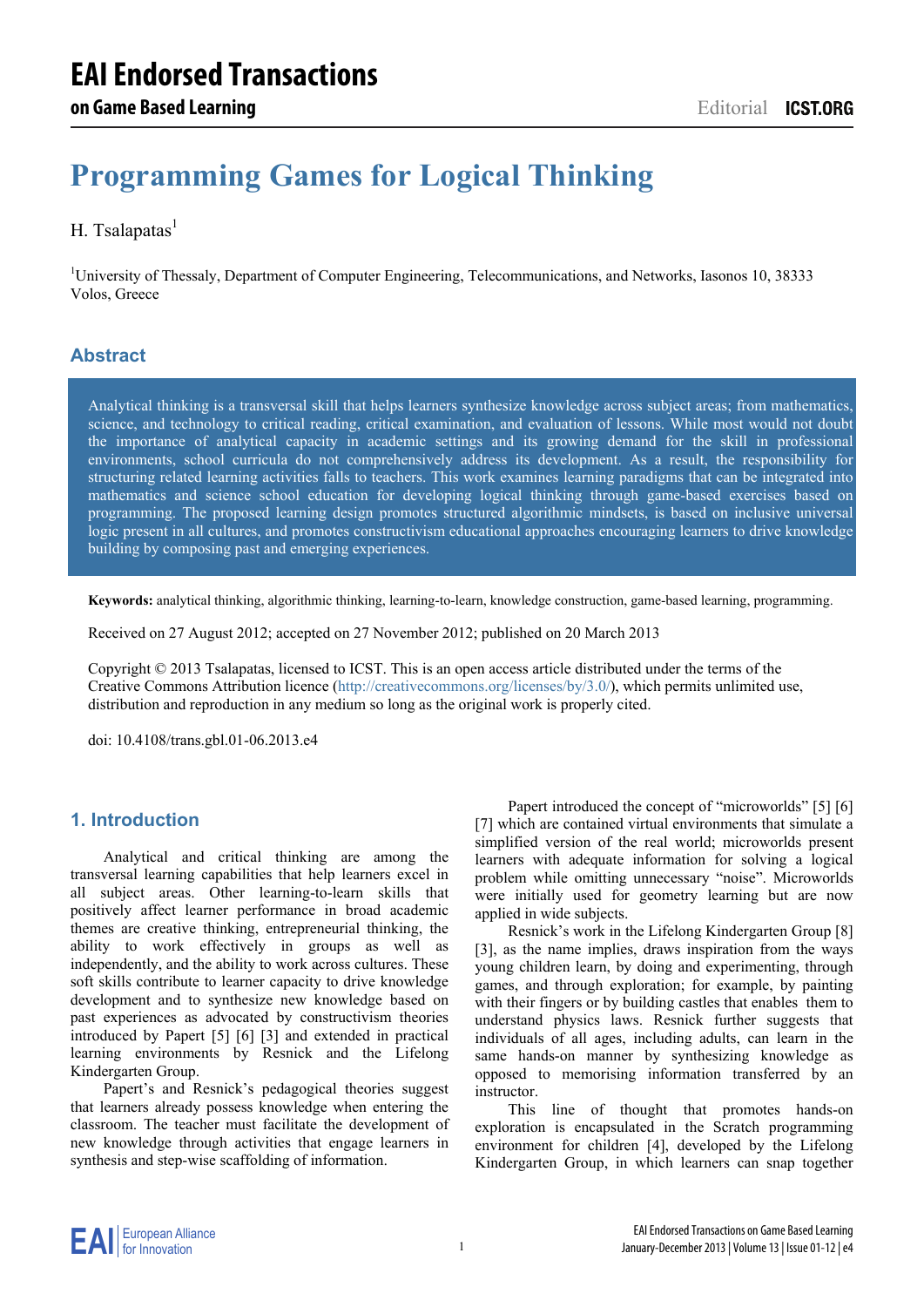# **Programming Games for Logical Thinking**

## H. Tsalapatas $<sup>1</sup>$ </sup>

<sup>1</sup>University of Thessaly, Department of Computer Engineering, Telecommunications, and Networks, Iasonos 10, 38333 Volos, Greece

## **Abstract**

Analytical thinking is a transversal skill that helps learners synthesize knowledge across subject areas; from mathematics, science, and technology to critical reading, critical examination, and evaluation of lessons. While most would not doubt the importance of analytical capacity in academic settings and its growing demand for the skill in professional environments, school curricula do not comprehensively address its development. As a result, the responsibility for structuring related learning activities falls to teachers. This work examines learning paradigms that can be integrated into mathematics and science school education for developing logical thinking through game-based exercises based on programming. The proposed learning design promotes structured algorithmic mindsets, is based on inclusive universal logic present in all cultures, and promotes constructivism educational approaches encouraging learners to drive knowledge building by composing past and emerging experiences.

**Keywords:** analytical thinking, algorithmic thinking, learning-to-learn, knowledge construction, game-based learning, programming.

Received on 27 August 2012; accepted on 27 November 2012; published on 20 March 2013

Copyright © 2013 Tsalapatas, licensed to ICST. This is an open access article distributed under the terms of the Creative Commons Attribution licence (http://creativecommons.org/licenses/by/3.0/), which permits unlimited use, distribution and reproduction in any medium so long as the original work is properly cited.

doi: 10.4108/trans.gbl.01-06.2013.e4

#### **1. Introduction**

Analytical and critical thinking are among the transversal learning capabilities that help learners excel in all subject areas. Other learning-to-learn skills that positively affect learner performance in broad academic themes are creative thinking, entrepreneurial thinking, the ability to work effectively in groups as well as independently, and the ability to work across cultures. These soft skills contribute to learner capacity to drive knowledge development and to synthesize new knowledge based on past experiences as advocated by constructivism theories introduced by Papert [5] [6] [3] and extended in practical learning environments by Resnick and the Lifelong Kindergarten Group.

Papert's and Resnick's pedagogical theories suggest that learners already possess knowledge when entering the classroom. The teacher must facilitate the development of new knowledge through activities that engage learners in synthesis and step-wise scaffolding of information.

Papert introduced the concept of "microworlds" [5] [6] [7] which are contained virtual environments that simulate a simplified version of the real world; microworlds present learners with adequate information for solving a logical problem while omitting unnecessary "noise". Microworlds were initially used for geometry learning but are now applied in wide subjects.

Resnick's work in the Lifelong Kindergarten Group [8] [3], as the name implies, draws inspiration from the ways young children learn, by doing and experimenting, through games, and through exploration; for example, by painting with their fingers or by building castles that enables them to understand physics laws. Resnick further suggests that individuals of all ages, including adults, can learn in the same hands-on manner by synthesizing knowledge as opposed to memorising information transferred by an instructor.

This line of thought that promotes hands-on exploration is encapsulated in the Scratch programming environment for children [4], developed by the Lifelong Kindergarten Group, in which learners can snap together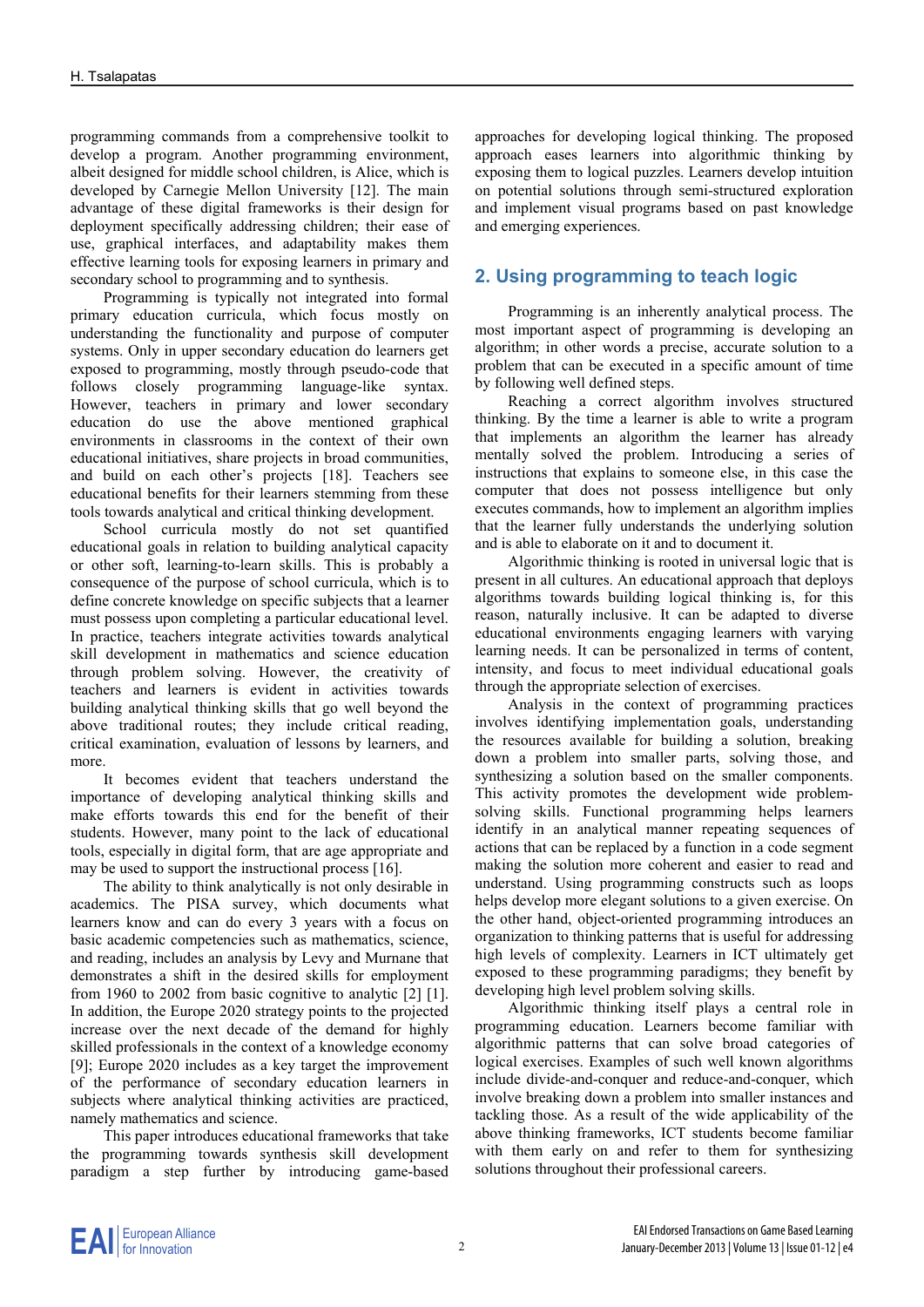programming commands from a comprehensive toolkit to develop a program. Another programming environment, albeit designed for middle school children, is Alice, which is developed by Carnegie Mellon University [12]. The main advantage of these digital frameworks is their design for deployment specifically addressing children; their ease of use, graphical interfaces, and adaptability makes them effective learning tools for exposing learners in primary and secondary school to programming and to synthesis.

Programming is typically not integrated into formal primary education curricula, which focus mostly on understanding the functionality and purpose of computer systems. Only in upper secondary education do learners get exposed to programming, mostly through pseudo-code that follows closely programming language-like syntax. However, teachers in primary and lower secondary education do use the above mentioned graphical environments in classrooms in the context of their own educational initiatives, share projects in broad communities, and build on each other's projects [18]. Teachers see educational benefits for their learners stemming from these tools towards analytical and critical thinking development.

School curricula mostly do not set quantified educational goals in relation to building analytical capacity or other soft, learning-to-learn skills. This is probably a consequence of the purpose of school curricula, which is to define concrete knowledge on specific subjects that a learner must possess upon completing a particular educational level. In practice, teachers integrate activities towards analytical skill development in mathematics and science education through problem solving. However, the creativity of teachers and learners is evident in activities towards building analytical thinking skills that go well beyond the above traditional routes; they include critical reading, critical examination, evaluation of lessons by learners, and more.

It becomes evident that teachers understand the importance of developing analytical thinking skills and make efforts towards this end for the benefit of their students. However, many point to the lack of educational tools, especially in digital form, that are age appropriate and may be used to support the instructional process [16].

The ability to think analytically is not only desirable in academics. The PISA survey, which documents what learners know and can do every 3 years with a focus on basic academic competencies such as mathematics, science, and reading, includes an analysis by Levy and Murnane that demonstrates a shift in the desired skills for employment from 1960 to 2002 from basic cognitive to analytic [2] [1]. In addition, the Europe 2020 strategy points to the projected increase over the next decade of the demand for highly skilled professionals in the context of a knowledge economy [9]; Europe 2020 includes as a key target the improvement of the performance of secondary education learners in subjects where analytical thinking activities are practiced, namely mathematics and science.

This paper introduces educational frameworks that take the programming towards synthesis skill development paradigm a step further by introducing game-based

approaches for developing logical thinking. The proposed approach eases learners into algorithmic thinking by exposing them to logical puzzles. Learners develop intuition on potential solutions through semi-structured exploration and implement visual programs based on past knowledge and emerging experiences.

# **2. Using programming to teach logic**

Programming is an inherently analytical process. The most important aspect of programming is developing an algorithm; in other words a precise, accurate solution to a problem that can be executed in a specific amount of time by following well defined steps.

Reaching a correct algorithm involves structured thinking. By the time a learner is able to write a program that implements an algorithm the learner has already mentally solved the problem. Introducing a series of instructions that explains to someone else, in this case the computer that does not possess intelligence but only executes commands, how to implement an algorithm implies that the learner fully understands the underlying solution and is able to elaborate on it and to document it.

Algorithmic thinking is rooted in universal logic that is present in all cultures. An educational approach that deploys algorithms towards building logical thinking is, for this reason, naturally inclusive. It can be adapted to diverse educational environments engaging learners with varying learning needs. It can be personalized in terms of content, intensity, and focus to meet individual educational goals through the appropriate selection of exercises.

Analysis in the context of programming practices involves identifying implementation goals, understanding the resources available for building a solution, breaking down a problem into smaller parts, solving those, and synthesizing a solution based on the smaller components. This activity promotes the development wide problemsolving skills. Functional programming helps learners identify in an analytical manner repeating sequences of actions that can be replaced by a function in a code segment making the solution more coherent and easier to read and understand. Using programming constructs such as loops helps develop more elegant solutions to a given exercise. On the other hand, object-oriented programming introduces an organization to thinking patterns that is useful for addressing high levels of complexity. Learners in ICT ultimately get exposed to these programming paradigms; they benefit by developing high level problem solving skills.

Algorithmic thinking itself plays a central role in programming education. Learners become familiar with algorithmic patterns that can solve broad categories of logical exercises. Examples of such well known algorithms include divide-and-conquer and reduce-and-conquer, which involve breaking down a problem into smaller instances and tackling those. As a result of the wide applicability of the above thinking frameworks, ICT students become familiar with them early on and refer to them for synthesizing solutions throughout their professional careers.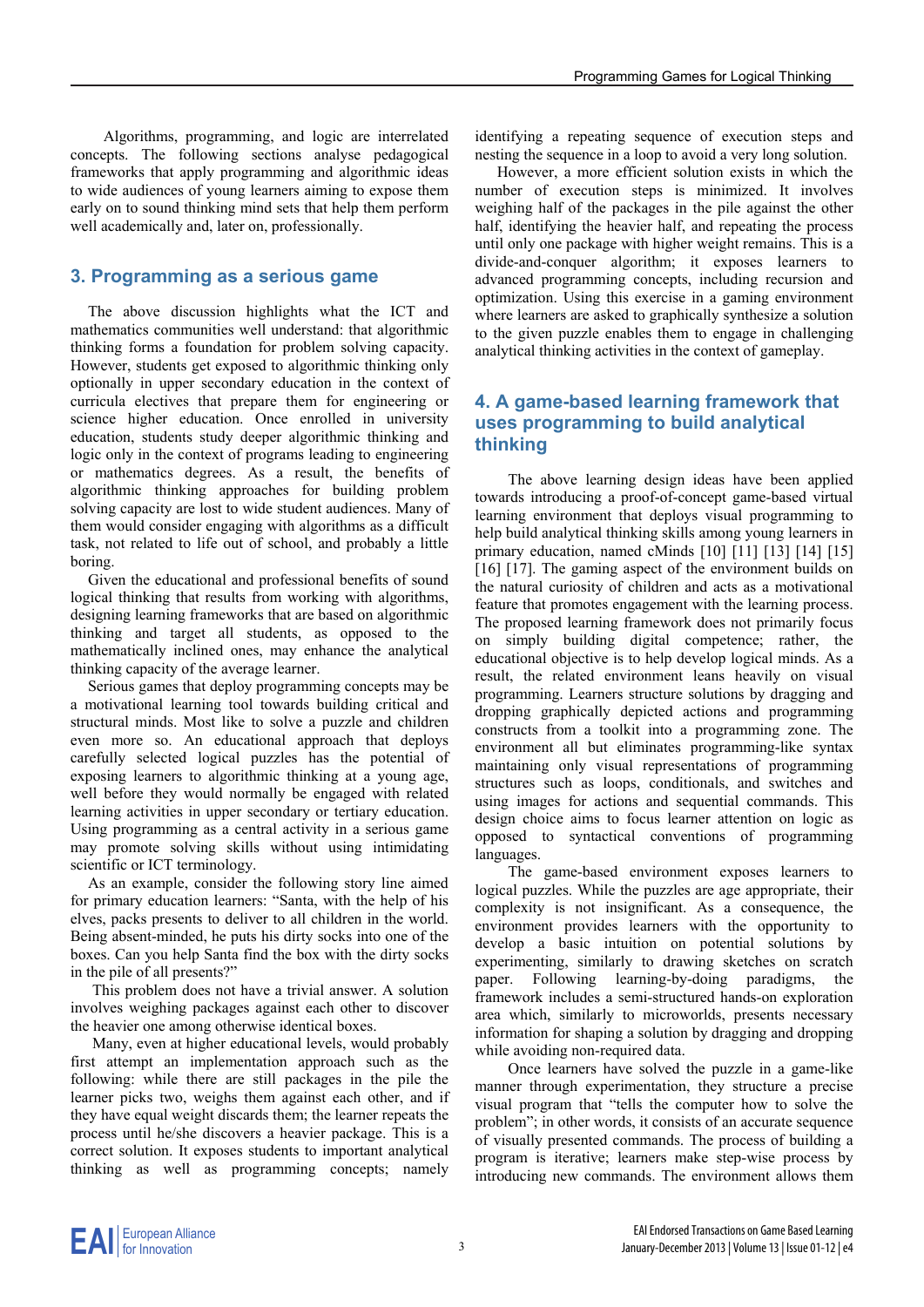Algorithms, programming, and logic are interrelated concepts. The following sections analyse pedagogical frameworks that apply programming and algorithmic ideas to wide audiences of young learners aiming to expose them early on to sound thinking mind sets that help them perform well academically and, later on, professionally.

#### **3. Programming as a serious game**

The above discussion highlights what the ICT and mathematics communities well understand: that algorithmic thinking forms a foundation for problem solving capacity. However, students get exposed to algorithmic thinking only optionally in upper secondary education in the context of curricula electives that prepare them for engineering or science higher education. Once enrolled in university education, students study deeper algorithmic thinking and logic only in the context of programs leading to engineering or mathematics degrees. As a result, the benefits of algorithmic thinking approaches for building problem solving capacity are lost to wide student audiences. Many of them would consider engaging with algorithms as a difficult task, not related to life out of school, and probably a little boring.

Given the educational and professional benefits of sound logical thinking that results from working with algorithms, designing learning frameworks that are based on algorithmic thinking and target all students, as opposed to the mathematically inclined ones, may enhance the analytical thinking capacity of the average learner.

Serious games that deploy programming concepts may be a motivational learning tool towards building critical and structural minds. Most like to solve a puzzle and children even more so. An educational approach that deploys carefully selected logical puzzles has the potential of exposing learners to algorithmic thinking at a young age, well before they would normally be engaged with related learning activities in upper secondary or tertiary education. Using programming as a central activity in a serious game may promote solving skills without using intimidating scientific or ICT terminology.

As an example, consider the following story line aimed for primary education learners: "Santa, with the help of his elves, packs presents to deliver to all children in the world. Being absent-minded, he puts his dirty socks into one of the boxes. Can you help Santa find the box with the dirty socks in the pile of all presents?"

This problem does not have a trivial answer. A solution involves weighing packages against each other to discover the heavier one among otherwise identical boxes.

Many, even at higher educational levels, would probably first attempt an implementation approach such as the following: while there are still packages in the pile the learner picks two, weighs them against each other, and if they have equal weight discards them; the learner repeats the process until he/she discovers a heavier package. This is a correct solution. It exposes students to important analytical thinking as well as programming concepts; namely

identifying a repeating sequence of execution steps and nesting the sequence in a loop to avoid a very long solution.

However, a more efficient solution exists in which the number of execution steps is minimized. It involves weighing half of the packages in the pile against the other half, identifying the heavier half, and repeating the process until only one package with higher weight remains. This is a divide-and-conquer algorithm; it exposes learners to advanced programming concepts, including recursion and optimization. Using this exercise in a gaming environment where learners are asked to graphically synthesize a solution to the given puzzle enables them to engage in challenging analytical thinking activities in the context of gameplay.

#### **4. A game-based learning framework that uses programming to build analytical thinking**

The above learning design ideas have been applied towards introducing a proof-of-concept game-based virtual learning environment that deploys visual programming to help build analytical thinking skills among young learners in primary education, named cMinds [10] [11] [13] [14] [15] [16] [17]. The gaming aspect of the environment builds on the natural curiosity of children and acts as a motivational feature that promotes engagement with the learning process. The proposed learning framework does not primarily focus on simply building digital competence; rather, the educational objective is to help develop logical minds. As a result, the related environment leans heavily on visual programming. Learners structure solutions by dragging and dropping graphically depicted actions and programming constructs from a toolkit into a programming zone. The environment all but eliminates programming-like syntax maintaining only visual representations of programming structures such as loops, conditionals, and switches and using images for actions and sequential commands. This design choice aims to focus learner attention on logic as opposed to syntactical conventions of programming languages.

The game-based environment exposes learners to logical puzzles. While the puzzles are age appropriate, their complexity is not insignificant. As a consequence, the environment provides learners with the opportunity to develop a basic intuition on potential solutions by experimenting, similarly to drawing sketches on scratch paper. Following learning-by-doing paradigms, the framework includes a semi-structured hands-on exploration area which, similarly to microworlds, presents necessary information for shaping a solution by dragging and dropping while avoiding non-required data.

Once learners have solved the puzzle in a game-like manner through experimentation, they structure a precise visual program that "tells the computer how to solve the problem"; in other words, it consists of an accurate sequence of visually presented commands. The process of building a program is iterative; learners make step-wise process by introducing new commands. The environment allows them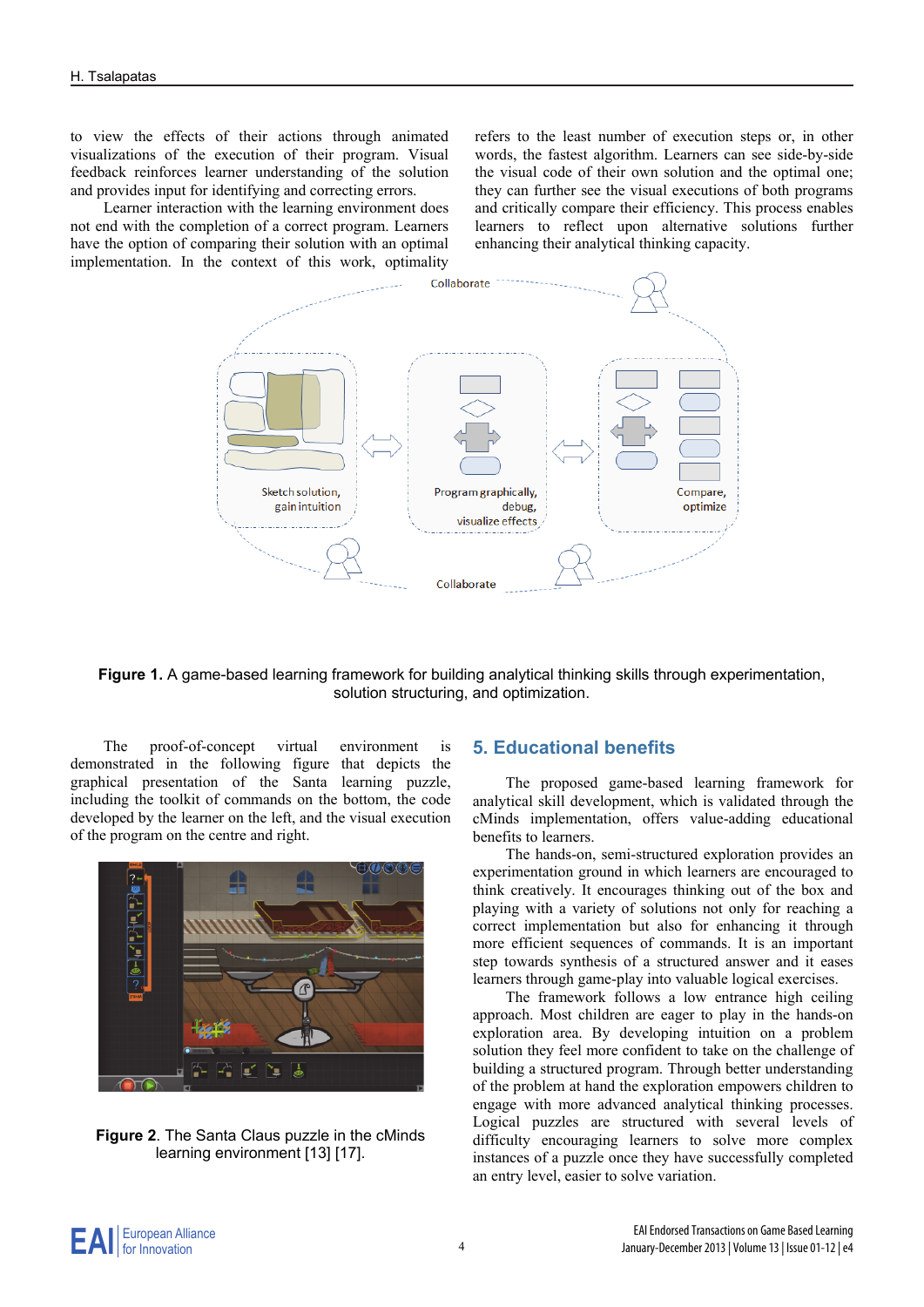to view the effects of their actions through animated visualizations of the execution of their program. Visual feedback reinforces learner understanding of the solution and provides input for identifying and correcting errors.

Learner interaction with the learning environment does not end with the completion of a correct program. Learners have the option of comparing their solution with an optimal implementation. In the context of this work, optimality refers to the least number of execution steps or, in other words, the fastest algorithm. Learners can see side-by-side the visual code of their own solution and the optimal one; they can further see the visual executions of both programs and critically compare their efficiency. This process enables learners to reflect upon alternative solutions further enhancing their analytical thinking capacity.



**Figure 1.** A game-based learning framework for building analytical thinking skills through experimentation, solution structuring, and optimization.

The proof-of-concept virtual environment is demonstrated in the following figure that depicts the graphical presentation of the Santa learning puzzle, including the toolkit of commands on the bottom, the code developed by the learner on the left, and the visual execution of the program on the centre and right.



**Figure 2**. The Santa Claus puzzle in the cMinds learning environment [13] [17].

#### **5. Educational benefits**

The proposed game-based learning framework for analytical skill development, which is validated through the cMinds implementation, offers value-adding educational benefits to learners.

The hands-on, semi-structured exploration provides an experimentation ground in which learners are encouraged to think creatively. It encourages thinking out of the box and playing with a variety of solutions not only for reaching a correct implementation but also for enhancing it through more efficient sequences of commands. It is an important step towards synthesis of a structured answer and it eases learners through game-play into valuable logical exercises.

The framework follows a low entrance high ceiling approach. Most children are eager to play in the hands-on exploration area. By developing intuition on a problem solution they feel more confident to take on the challenge of building a structured program. Through better understanding of the problem at hand the exploration empowers children to engage with more advanced analytical thinking processes. Logical puzzles are structured with several levels of difficulty encouraging learners to solve more complex instances of a puzzle once they have successfully completed an entry level, easier to solve variation.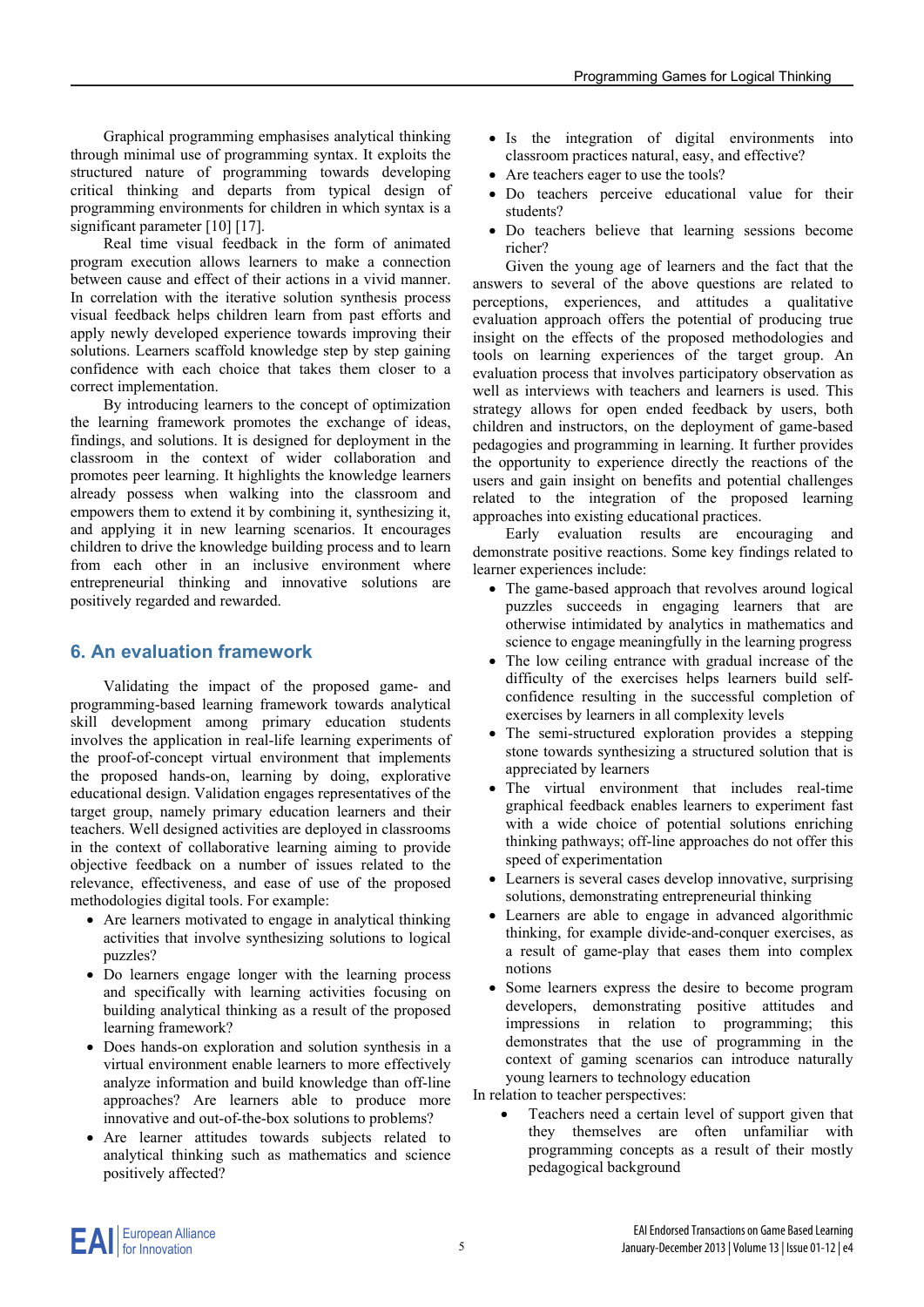Graphical programming emphasises analytical thinking through minimal use of programming syntax. It exploits the structured nature of programming towards developing critical thinking and departs from typical design of programming environments for children in which syntax is a significant parameter [10] [17].

Real time visual feedback in the form of animated program execution allows learners to make a connection between cause and effect of their actions in a vivid manner. In correlation with the iterative solution synthesis process visual feedback helps children learn from past efforts and apply newly developed experience towards improving their solutions. Learners scaffold knowledge step by step gaining confidence with each choice that takes them closer to a correct implementation.

By introducing learners to the concept of optimization the learning framework promotes the exchange of ideas, findings, and solutions. It is designed for deployment in the classroom in the context of wider collaboration and promotes peer learning. It highlights the knowledge learners already possess when walking into the classroom and empowers them to extend it by combining it, synthesizing it, and applying it in new learning scenarios. It encourages children to drive the knowledge building process and to learn from each other in an inclusive environment where entrepreneurial thinking and innovative solutions are positively regarded and rewarded.

#### **6. An evaluation framework**

Validating the impact of the proposed game- and programming-based learning framework towards analytical skill development among primary education students involves the application in real-life learning experiments of the proof-of-concept virtual environment that implements the proposed hands-on, learning by doing, explorative educational design. Validation engages representatives of the target group, namely primary education learners and their teachers. Well designed activities are deployed in classrooms in the context of collaborative learning aiming to provide objective feedback on a number of issues related to the relevance, effectiveness, and ease of use of the proposed methodologies digital tools. For example:

- Are learners motivated to engage in analytical thinking activities that involve synthesizing solutions to logical puzzles?
- Do learners engage longer with the learning process and specifically with learning activities focusing on building analytical thinking as a result of the proposed learning framework?
- Does hands-on exploration and solution synthesis in a virtual environment enable learners to more effectively analyze information and build knowledge than off-line approaches? Are learners able to produce more innovative and out-of-the-box solutions to problems?
- Are learner attitudes towards subjects related to analytical thinking such as mathematics and science positively affected?
- Is the integration of digital environments into classroom practices natural, easy, and effective?
- Are teachers eager to use the tools?
- Do teachers perceive educational value for their students?
- Do teachers believe that learning sessions become richer?

Given the young age of learners and the fact that the answers to several of the above questions are related to perceptions, experiences, and attitudes a qualitative evaluation approach offers the potential of producing true insight on the effects of the proposed methodologies and tools on learning experiences of the target group. An evaluation process that involves participatory observation as well as interviews with teachers and learners is used. This strategy allows for open ended feedback by users, both children and instructors, on the deployment of game-based pedagogies and programming in learning. It further provides the opportunity to experience directly the reactions of the users and gain insight on benefits and potential challenges related to the integration of the proposed learning approaches into existing educational practices.

Early evaluation results are encouraging and demonstrate positive reactions. Some key findings related to learner experiences include:

- The game-based approach that revolves around logical puzzles succeeds in engaging learners that are otherwise intimidated by analytics in mathematics and science to engage meaningfully in the learning progress
- The low ceiling entrance with gradual increase of the difficulty of the exercises helps learners build selfconfidence resulting in the successful completion of exercises by learners in all complexity levels
- The semi-structured exploration provides a stepping stone towards synthesizing a structured solution that is appreciated by learners
- The virtual environment that includes real-time graphical feedback enables learners to experiment fast with a wide choice of potential solutions enriching thinking pathways; off-line approaches do not offer this speed of experimentation
- Learners is several cases develop innovative, surprising solutions, demonstrating entrepreneurial thinking
- Learners are able to engage in advanced algorithmic thinking, for example divide-and-conquer exercises, as a result of game-play that eases them into complex notions
- Some learners express the desire to become program developers, demonstrating positive attitudes and impressions in relation to programming; this demonstrates that the use of programming in the context of gaming scenarios can introduce naturally young learners to technology education

In relation to teacher perspectives:

 Teachers need a certain level of support given that they themselves are often unfamiliar with programming concepts as a result of their mostly pedagogical background